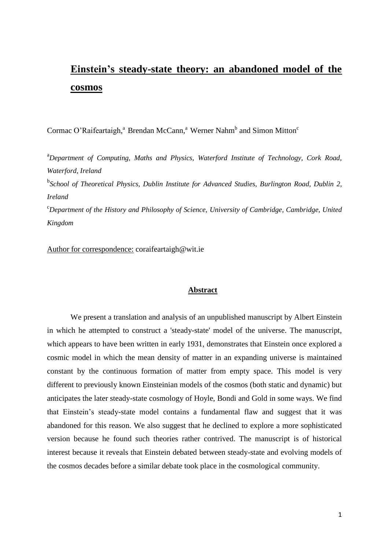# **Einstein's steady-state theory: an abandoned model of the cosmos**

Cormac O'Raifeartaigh,<sup>a</sup> Brendan McCann,<sup>a</sup> Werner Nahm<sup>b</sup> and Simon Mitton<sup>c</sup>

<sup>a</sup>*Department of Computing, Maths and Physics, Waterford Institute of Technology, Cork Road, Waterford, Ireland*

b *School of Theoretical Physics, Dublin Institute for Advanced Studies, Burlington Road, Dublin 2, Ireland*

<sup>c</sup>*Department of the History and Philosophy of Science, University of Cambridge, Cambridge, United Kingdom*

Author for correspondence: coraifeartaigh@wit.ie

#### **Abstract**

We present a translation and analysis of an unpublished manuscript by Albert Einstein in which he attempted to construct a 'steady-state' model of the universe. The manuscript, which appears to have been written in early 1931, demonstrates that Einstein once explored a cosmic model in which the mean density of matter in an expanding universe is maintained constant by the continuous formation of matter from empty space. This model is very different to previously known Einsteinian models of the cosmos (both static and dynamic) but anticipates the later steady-state cosmology of Hoyle, Bondi and Gold in some ways. We find that Einstein's steady-state model contains a fundamental flaw and suggest that it was abandoned for this reason. We also suggest that he declined to explore a more sophisticated version because he found such theories rather contrived. The manuscript is of historical interest because it reveals that Einstein debated between steady-state and evolving models of the cosmos decades before a similar debate took place in the cosmological community.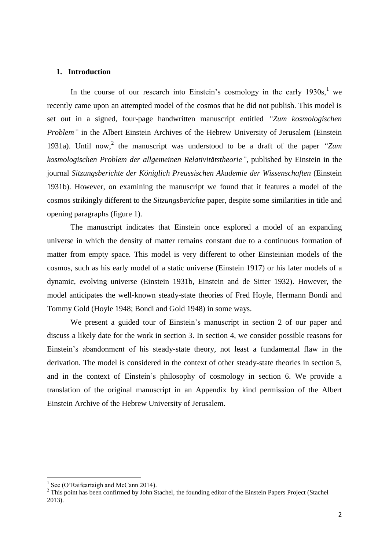#### **1. Introduction**

In the course of our research into Einstein's cosmology in the early  $1930s$ , we recently came upon an attempted model of the cosmos that he did not publish. This model is set out in a signed, four-page handwritten manuscript entitled *"Zum kosmologischen Problem"* in the Albert Einstein Archives of the Hebrew University of Jerusalem (Einstein 1931a). Until now,<sup>2</sup> the manuscript was understood to be a draft of the paper *"Zum kosmologischen Problem der allgemeinen Relativitätstheorie"*, published by Einstein in the journal *Sitzungsberichte der Königlich Preussischen Akademie der Wissenschaften* (Einstein 1931b). However, on examining the manuscript we found that it features a model of the cosmos strikingly different to the *Sitzungsberichte* paper, despite some similarities in title and opening paragraphs (figure 1).

The manuscript indicates that Einstein once explored a model of an expanding universe in which the density of matter remains constant due to a continuous formation of matter from empty space. This model is very different to other Einsteinian models of the cosmos, such as his early model of a static universe (Einstein 1917) or his later models of a dynamic, evolving universe (Einstein 1931b, Einstein and de Sitter 1932). However, the model anticipates the well-known steady-state theories of Fred Hoyle, Hermann Bondi and Tommy Gold (Hoyle 1948; Bondi and Gold 1948) in some ways.

We present a guided tour of Einstein's manuscript in section 2 of our paper and discuss a likely date for the work in section 3. In section 4, we consider possible reasons for Einstein's abandonment of his steady-state theory, not least a fundamental flaw in the derivation. The model is considered in the context of other steady-state theories in section 5, and in the context of Einstein's philosophy of cosmology in section 6. We provide a translation of the original manuscript in an Appendix by kind permission of the Albert Einstein Archive of the Hebrew University of Jerusalem.

1

<sup>1</sup> See (O'Raifeartaigh and McCann 2014).

<sup>&</sup>lt;sup>2</sup> This point has been confirmed by John Stachel, the founding editor of the Einstein Papers Project (Stachel 2013).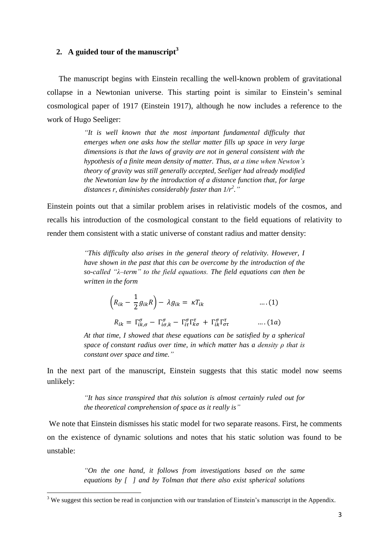## **2. A guided tour of the manuscript<sup>3</sup>**

The manuscript begins with Einstein recalling the well-known problem of gravitational collapse in a Newtonian universe. This starting point is similar to Einstein's seminal cosmological paper of 1917 (Einstein 1917), although he now includes a reference to the work of Hugo Seeliger:

> *"It is well known that the most important fundamental difficulty that emerges when one asks how the stellar matter fills up space in very large dimensions is that the laws of gravity are not in general consistent with the hypothesis of a finite mean density of matter. Thus, at a time when Newton's theory of gravity was still generally accepted, Seeliger had already modified the Newtonian law by the introduction of a distance function that, for large distances r, diminishes considerably faster than 1/r<sup>2</sup> ."*

Einstein points out that a similar problem arises in relativistic models of the cosmos, and recalls his introduction of the cosmological constant to the field equations of relativity to render them consistent with a static universe of constant radius and matter density:

> *"This difficulty also arises in the general theory of relativity. However, I have shown in the past that this can be overcome by the introduction of the so-called "λ–term" to the field equations. The field equations can then be written in the form*

$$
\left(R_{ik} - \frac{1}{2}g_{ik}R\right) - \lambda g_{ik} = \kappa T_{ik} \qquad \qquad \dots (1)
$$

 $R_{ik} = \Gamma_{ik\sigma}^{\sigma} - \Gamma_{i\sigma k}^{\sigma} - \Gamma_{i\tau}^{\sigma} \Gamma_{k\sigma}^{\tau} + \Gamma_{ik}^{\sigma} \Gamma_{\sigma \tau}^{\tau}$  .... (1a)

*At that time, I showed that these equations can be satisfied by a spherical space of constant radius over time, in which matter has a density ρ that is constant over space and time."*

In the next part of the manuscript, Einstein suggests that this static model now seems unlikely:

> *"It has since transpired that this solution is almost certainly ruled out for the theoretical comprehension of space as it really is"*

We note that Einstein dismisses his static model for two separate reasons. First, he comments on the existence of dynamic solutions and notes that his static solution was found to be unstable:

> *"On the one hand, it follows from investigations based on the same equations by [ ] and by Tolman that there also exist spherical solutions*

**.** 

 $3$  We suggest this section be read in conjunction with our translation of Einstein's manuscript in the Appendix.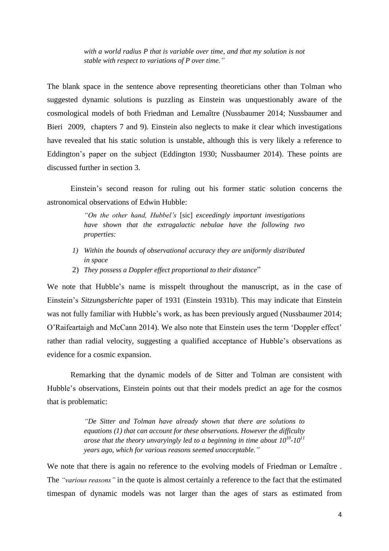*with a world radius P that is variable over time, and that my solution is not stable with respect to variations of P over time."*

The blank space in the sentence above representing theoreticians other than Tolman who suggested dynamic solutions is puzzling as Einstein was unquestionably aware of the cosmological models of both Friedman and Lemaître (Nussbaumer 2014; Nussbaumer and Bieri 2009, chapters 7 and 9). Einstein also neglects to make it clear which investigations have revealed that his static solution is unstable, although this is very likely a reference to Eddington's paper on the subject (Eddington 1930; Nussbaumer 2014). These points are discussed further in section 3.

Einstein's second reason for ruling out his former static solution concerns the astronomical observations of Edwin Hubble:

> *"On the other hand, Hubbel's* [sic] *exceedingly important investigations have shown that the extragalactic nebulae have the following two properties:*

- *1) Within the bounds of observational accuracy they are uniformly distributed in space*
- 2) *They possess a Doppler effect proportional to their distance*"

We note that Hubble's name is misspelt throughout the manuscript, as in the case of Einstein's *Sitzungsberichte* paper of 1931 (Einstein 1931b). This may indicate that Einstein was not fully familiar with Hubble's work, as has been previously argued (Nussbaumer 2014; O'Raifeartaigh and McCann 2014). We also note that Einstein uses the term 'Doppler effect' rather than radial velocity, suggesting a qualified acceptance of Hubble's observations as evidence for a cosmic expansion.

Remarking that the dynamic models of de Sitter and Tolman are consistent with Hubble's observations, Einstein points out that their models predict an age for the cosmos that is problematic:

> *"De Sitter and Tolman have already shown that there are solutions to equations (1) that can account for these observations. However the difficulty arose that the theory unvaryingly led to a beginning in time about 10<sup>10</sup> -10<sup>11</sup> years ago, which for various reasons seemed unacceptable."*

We note that there is again no reference to the evolving models of Friedman or Lemaître . The *"various reasons"* in the quote is almost certainly a reference to the fact that the estimated timespan of dynamic models was not larger than the ages of stars as estimated from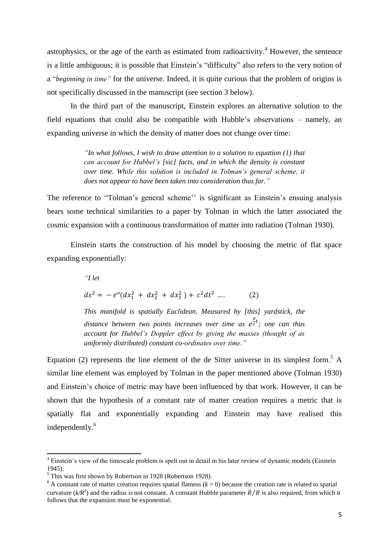astrophysics, or the age of the earth as estimated from radioactivity.<sup>4</sup> However, the sentence is a little ambiguous; it is possible that Einstein's "difficulty" also refers to the very notion of a "*beginning in time"* for the universe. Indeed, it is quite curious that the problem of origins is not specifically discussed in the manuscript (see section 3 below).

In the third part of the manuscript, Einstein explores an alternative solution to the field equations that could also be compatible with Hubble's observations – namely, an expanding universe in which the density of matter does not change over time:

> *"In what follows, I wish to draw attention to a solution to equation (1) that can account for Hubbel's [*sic*] facts, and in which the density is constant over time. While this solution is included in Tolman's general scheme, it does not appear to have been taken into consideration thus far."*

The reference to "Tolman's general scheme'' is significant as Einstein's ensuing analysis bears some technical similarities to a paper by Tolman in which the latter associated the cosmic expansion with a continuous transformation of matter into radiation (Tolman 1930).

Einstein starts the construction of his model by choosing the metric of flat space expanding exponentially:

"I let  

$$
ds^{2} = -e^{\alpha t}(dx_{1}^{2} + dx_{2}^{2} + dx_{3}^{2}) + c^{2}dt^{2} .... \qquad (2)
$$

*This manifold is spatially Euclidean. Measured by [this] yardstick, the distance between two points increases over time as*   $\frac{a}{2}$ *t*; one can thus *account for Hubbel's Doppler effect by giving the masses (thought of as uniformly distributed) constant co-ordinates over time."*

Equation (2) represents the line element of the de Sitter universe in its simplest form.<sup>5</sup> A similar line element was employed by Tolman in the paper mentioned above (Tolman 1930) and Einstein's choice of metric may have been influenced by that work. However, it can be shown that the hypothesis of a constant rate of matter creation requires a metric that is spatially flat and exponentially expanding and Einstein may have realised this independently.<sup>6</sup>

1

<sup>&</sup>lt;sup>4</sup> Einstein's view of the timescale problem is spelt out in detail in his later review of dynamic models (Einstein 1945).

<sup>&</sup>lt;sup>5</sup> This was first shown by Robertson in 1928 (Robertson 1928).

 $6$  A constant rate of matter creation requires spatial flatness ( $k = 0$ ) because the creation rate is related to spatial curvature ( $k/R<sup>2</sup>$ ) and the radius is not constant. A constant Hubble parameter  $\dot{R}/R$  is also required, from which it follows that the expansion must be exponential.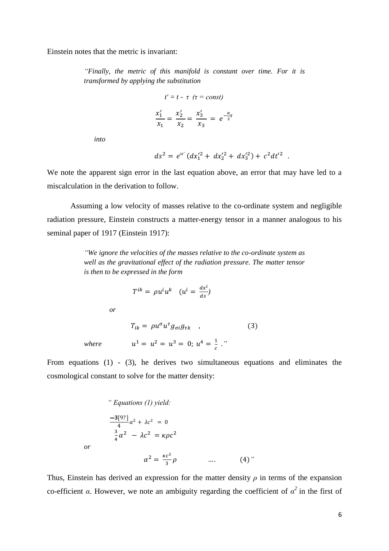Einstein notes that the metric is invariant:

*"Finally, the metric of this manifold is constant over time. For it is transformed by applying the substitution*

$$
t' = t - \tau \quad (\tau = const)
$$

$$
\frac{x_1'}{x_1} = \frac{x_2'}{x_2} = \frac{x_3'}{x_3} = e^{-\frac{\alpha}{2}\tau}
$$

*into*

$$
ds^2 = e^{\alpha t'}(dx_1'^2 + dx_2'^2 + dx_3'^2) + c^2 dt'^2.
$$

We note the apparent sign error in the last equation above, an error that may have led to a miscalculation in the derivation to follow.

Assuming a low velocity of masses relative to the co-ordinate system and negligible radiation pressure, Einstein constructs a matter-energy tensor in a manner analogous to his seminal paper of 1917 (Einstein 1917):

> *"We ignore the velocities of the masses relative to the co-ordinate system as well as the gravitational effect of the radiation pressure. The matter tensor is then to be expressed in the form*

$$
T^{ik} = \rho u^i u^k \quad (u^i = \frac{dx^i}{ds})
$$

*or*

 $T_{ik} = \rho u^{\sigma} u^{\tau} g_{\sigma i} g_{\tau k}$ , (3) *where*  $u^1 = u^2 = u^3 = 0$ ;  $u^4 = \frac{1}{2}$ *."*

From equations (1) - (3), he derives two simultaneous equations and eliminates the cosmological constant to solve for the matter density:

" Equations (1) yield:  
\n
$$
\frac{-3[9?]}{4} \alpha^2 + \lambda c^2 = 0
$$
\n
$$
\frac{3}{4} \alpha^2 - \lambda c^2 = \kappa \rho c^2
$$
\nor\n
$$
\alpha^2 = \frac{\kappa c^2}{3} \rho
$$
 .... (4)

Thus, Einstein has derived an expression for the matter density  $\rho$  in terms of the expansion co-efficient *α*. However, we note an ambiguity regarding the coefficient of  $\alpha^2$  in the first of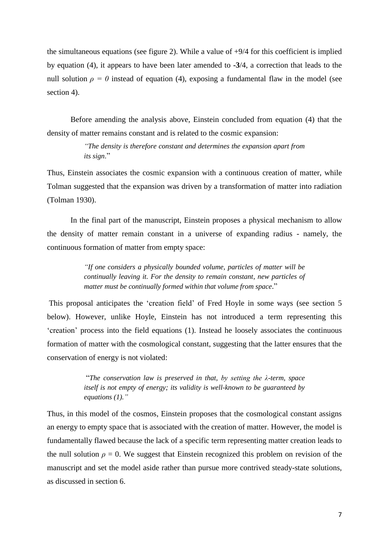the simultaneous equations (see figure 2). While a value of +9/4 for this coefficient is implied by equation (4), it appears to have been later amended to **-3**/4, a correction that leads to the null solution  $\rho = 0$  instead of equation (4), exposing a fundamental flaw in the model (see section 4).

Before amending the analysis above, Einstein concluded from equation (4) that the density of matter remains constant and is related to the cosmic expansion:

> *"The density is therefore constant and determines the expansion apart from its sign*."

Thus, Einstein associates the cosmic expansion with a continuous creation of matter, while Tolman suggested that the expansion was driven by a transformation of matter into radiation (Tolman 1930).

In the final part of the manuscript, Einstein proposes a physical mechanism to allow the density of matter remain constant in a universe of expanding radius - namely, the continuous formation of matter from empty space:

> *"If one considers a physically bounded volume, particles of matter will be continually leaving it. For the density to remain constant, new particles of matter must be continually formed within that volume from space*."

This proposal anticipates the 'creation field' of Fred Hoyle in some ways (see section 5 below). However, unlike Hoyle, Einstein has not introduced a term representing this 'creation' process into the field equations (1). Instead he loosely associates the continuous formation of matter with the cosmological constant, suggesting that the latter ensures that the conservation of energy is not violated:

> "*The conservation law is preserved in that, by setting the λ-term, space itself is not empty of energy; its validity is well-known to be guaranteed by equations (1)."*

Thus, in this model of the cosmos, Einstein proposes that the cosmological constant assigns an energy to empty space that is associated with the creation of matter. However, the model is fundamentally flawed because the lack of a specific term representing matter creation leads to the null solution  $\rho = 0$ . We suggest that Einstein recognized this problem on revision of the manuscript and set the model aside rather than pursue more contrived steady-state solutions, as discussed in section 6.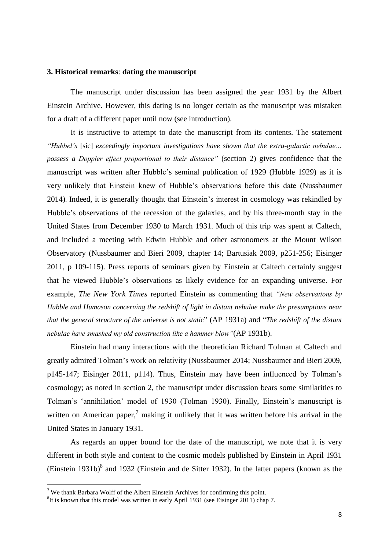#### **3. Historical remarks**: **dating the manuscript**

The manuscript under discussion has been assigned the year 1931 by the Albert Einstein Archive. However, this dating is no longer certain as the manuscript was mistaken for a draft of a different paper until now (see introduction).

It is instructive to attempt to date the manuscript from its contents. The statement *"Hubbel's* [sic] *exceedingly important investigations have shown that the extra-galactic nebulae… possess a Doppler effect proportional to their distance"* (section 2) gives confidence that the manuscript was written after Hubble's seminal publication of 1929 (Hubble 1929) as it is very unlikely that Einstein knew of Hubble's observations before this date (Nussbaumer 2014). Indeed, it is generally thought that Einstein's interest in cosmology was rekindled by Hubble's observations of the recession of the galaxies, and by his three-month stay in the United States from December 1930 to March 1931. Much of this trip was spent at Caltech, and included a meeting with Edwin Hubble and other astronomers at the Mount Wilson Observatory (Nussbaumer and Bieri 2009, chapter 14; Bartusiak 2009, p251-256; Eisinger 2011, p 109-115). Press reports of seminars given by Einstein at Caltech certainly suggest that he viewed Hubble's observations as likely evidence for an expanding universe. For example, *The New York Times* reported Einstein as commenting that *"New observations by Hubble and Humason concerning the redshift of light in distant nebulae make the presumptions near that the general structure of the universe is not static*" (AP 1931a) and "*The redshift of the distant nebulae have smashed my old construction like a hammer blow"*(AP 1931b).

Einstein had many interactions with the theoretician Richard Tolman at Caltech and greatly admired Tolman's work on relativity (Nussbaumer 2014; Nussbaumer and Bieri 2009, p145-147; Eisinger 2011, p114). Thus, Einstein may have been influenced by Tolman's cosmology; as noted in section 2, the manuscript under discussion bears some similarities to Tolman's 'annihilation' model of 1930 (Tolman 1930). Finally, Einstein's manuscript is written on American paper,<sup>7</sup> making it unlikely that it was written before his arrival in the United States in January 1931.

As regards an upper bound for the date of the manuscript, we note that it is very different in both style and content to the cosmic models published by Einstein in April 1931 (Einstein 1931b) $\delta$  and 1932 (Einstein and de Sitter 1932). In the latter papers (known as the

**.** 

<sup>&</sup>lt;sup>7</sup> We thank Barbara Wolff of the Albert Einstein Archives for confirming this point.

 ${}^{8}$ It is known that this model was written in early April 1931 (see Eisinger 2011) chap 7.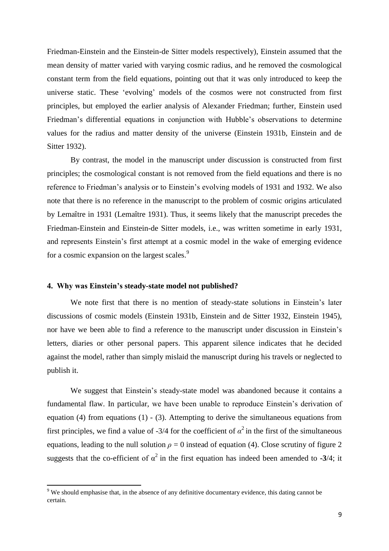Friedman-Einstein and the Einstein-de Sitter models respectively), Einstein assumed that the mean density of matter varied with varying cosmic radius, and he removed the cosmological constant term from the field equations, pointing out that it was only introduced to keep the universe static. These 'evolving' models of the cosmos were not constructed from first principles, but employed the earlier analysis of Alexander Friedman; further, Einstein used Friedman's differential equations in conjunction with Hubble's observations to determine values for the radius and matter density of the universe (Einstein 1931b, Einstein and de Sitter 1932).

By contrast, the model in the manuscript under discussion is constructed from first principles; the cosmological constant is not removed from the field equations and there is no reference to Friedman's analysis or to Einstein's evolving models of 1931 and 1932. We also note that there is no reference in the manuscript to the problem of cosmic origins articulated by Lemaȋtre in 1931 (Lemaȋtre 1931). Thus, it seems likely that the manuscript precedes the Friedman-Einstein and Einstein-de Sitter models, i.e., was written sometime in early 1931, and represents Einstein's first attempt at a cosmic model in the wake of emerging evidence for a cosmic expansion on the largest scales.<sup>9</sup>

#### **4. Why was Einstein's steady-state model not published?**

**.** 

We note first that there is no mention of steady-state solutions in Einstein's later discussions of cosmic models (Einstein 1931b, Einstein and de Sitter 1932, Einstein 1945), nor have we been able to find a reference to the manuscript under discussion in Einstein's letters, diaries or other personal papers. This apparent silence indicates that he decided against the model, rather than simply mislaid the manuscript during his travels or neglected to publish it.

We suggest that Einstein's steady-state model was abandoned because it contains a fundamental flaw. In particular, we have been unable to reproduce Einstein's derivation of equation (4) from equations (1) - (3). Attempting to derive the simultaneous equations from first principles, we find a value of -3/4 for the coefficient of  $\alpha^2$  in the first of the simultaneous equations, leading to the null solution  $\rho = 0$  instead of equation (4). Close scrutiny of figure 2 suggests that the co-efficient of  $\alpha^2$  in the first equation has indeed been amended to **-3**/4; it

 $9$  We should emphasise that, in the absence of any definitive documentary evidence, this dating cannot be certain.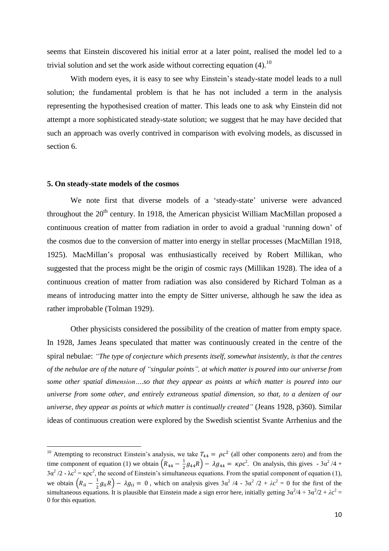seems that Einstein discovered his initial error at a later point, realised the model led to a trivial solution and set the work aside without correcting equation  $(4)$ .<sup>10</sup>

With modern eyes, it is easy to see why Einstein's steady-state model leads to a null solution; the fundamental problem is that he has not included a term in the analysis representing the hypothesised creation of matter. This leads one to ask why Einstein did not attempt a more sophisticated steady-state solution; we suggest that he may have decided that such an approach was overly contrived in comparison with evolving models, as discussed in section 6.

#### **5. On steady-state models of the cosmos**

**.** 

We note first that diverse models of a 'steady-state' universe were advanced throughout the  $20<sup>th</sup>$  century. In 1918, the American physicist William MacMillan proposed a continuous creation of matter from radiation in order to avoid a gradual 'running down' of the cosmos due to the conversion of matter into energy in stellar processes (MacMillan 1918, 1925). MacMillan's proposal was enthusiastically received by Robert Millikan, who suggested that the process might be the origin of cosmic rays (Millikan 1928). The idea of a continuous creation of matter from radiation was also considered by Richard Tolman as a means of introducing matter into the empty de Sitter universe, although he saw the idea as rather improbable (Tolman 1929).

Other physicists considered the possibility of the creation of matter from empty space. In 1928, James Jeans speculated that matter was continuously created in the centre of the spiral nebulae: *"The type of conjecture which presents itself, somewhat insistently, is that the centres of the nebulae are of the nature of "singular points", at which matter is poured into our universe from some other spatial dimension….so that they appear as points at which matter is poured into our universe from some other, and entirely extraneous spatial dimension, so that, to a denizen of our universe, they appear as points at which matter is continually created"* (Jeans 1928, p360). Similar ideas of continuous creation were explored by the Swedish scientist Svante Arrhenius and the

<sup>&</sup>lt;sup>10</sup> Attempting to reconstruct Einstein's analysis, we take  $T_{44} = \rho c^2$  (all other components zero) and from the time component of equation (1) we obtain  $\left(R_{44} - \frac{1}{2}\right)$  $\frac{1}{2}g_{44}R$ ) –  $\lambda g_{44} = \kappa \rho c^2$ . On analysis, this gives  $-3\alpha^2/4 +$  $3\alpha^2/2$  -  $\lambda c^2 = \kappa \rho c^2$ , the second of Einstein's simultaneous equations. From the spatial component of equation (1), we obtain  $\left(R_{ii} - \frac{1}{2}\right)$  $\frac{1}{2}g_{ii}R$ ) –  $\lambda g_{ii} = 0$ , which on analysis gives  $3\alpha^2/4 - 3\alpha^2/2 + \lambda c^2 = 0$  for the first of the simultaneous equations. It is plausible that Einstein made a sign error here, initially getting  $3\alpha^2/4 + 3\alpha^2/2 + \lambda c^2 =$ 0 for this equation.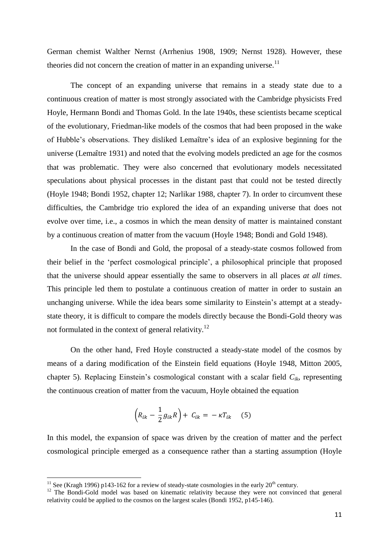German chemist Walther Nernst (Arrhenius 1908, 1909; Nernst 1928). However, these theories did not concern the creation of matter in an expanding universe.<sup>11</sup>

The concept of an expanding universe that remains in a steady state due to a continuous creation of matter is most strongly associated with the Cambridge physicists Fred Hoyle, Hermann Bondi and Thomas Gold. In the late 1940s, these scientists became sceptical of the evolutionary, Friedman-like models of the cosmos that had been proposed in the wake of Hubble's observations. They disliked Lemaȋtre's idea of an explosive beginning for the universe (Lemaȋtre 1931) and noted that the evolving models predicted an age for the cosmos that was problematic. They were also concerned that evolutionary models necessitated speculations about physical processes in the distant past that could not be tested directly (Hoyle 1948; Bondi 1952, chapter 12; Narlikar 1988, chapter 7). In order to circumvent these difficulties, the Cambridge trio explored the idea of an expanding universe that does not evolve over time, i.e., a cosmos in which the mean density of matter is maintained constant by a continuous creation of matter from the vacuum (Hoyle 1948; Bondi and Gold 1948).

In the case of Bondi and Gold, the proposal of a steady-state cosmos followed from their belief in the 'perfect cosmological principle', a philosophical principle that proposed that the universe should appear essentially the same to observers in all places *at all times*. This principle led them to postulate a continuous creation of matter in order to sustain an unchanging universe. While the idea bears some similarity to Einstein's attempt at a steadystate theory, it is difficult to compare the models directly because the Bondi-Gold theory was not formulated in the context of general relativity.<sup>12</sup>

On the other hand, Fred Hoyle constructed a steady-state model of the cosmos by means of a daring modification of the Einstein field equations (Hoyle 1948, Mitton 2005, chapter 5). Replacing Einstein's cosmological constant with a scalar field *Cik*, representing the continuous creation of matter from the vacuum, Hoyle obtained the equation

$$
\left(R_{ik} - \frac{1}{2}g_{ik}R\right) + C_{ik} = -\kappa T_{ik} \quad (5)
$$

In this model, the expansion of space was driven by the creation of matter and the perfect cosmological principle emerged as a consequence rather than a starting assumption (Hoyle

1

<sup>&</sup>lt;sup>11</sup> See (Kragh 1996) p143-162 for a review of steady-state cosmologies in the early  $20<sup>th</sup>$  century.

<sup>&</sup>lt;sup>12</sup> The Bondi-Gold model was based on kinematic relativity because they were not convinced that general relativity could be applied to the cosmos on the largest scales (Bondi 1952, p145-146).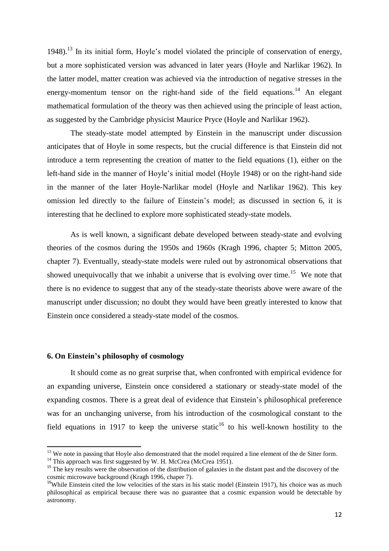1948).<sup>13</sup> In its initial form, Hoyle's model violated the principle of conservation of energy, but a more sophisticated version was advanced in later years (Hoyle and Narlikar 1962). In the latter model, matter creation was achieved via the introduction of negative stresses in the energy-momentum tensor on the right-hand side of the field equations.<sup>14</sup> An elegant mathematical formulation of the theory was then achieved using the principle of least action, as suggested by the Cambridge physicist Maurice Pryce (Hoyle and Narlikar 1962).

The steady-state model attempted by Einstein in the manuscript under discussion anticipates that of Hoyle in some respects, but the crucial difference is that Einstein did not introduce a term representing the creation of matter to the field equations (1), either on the left-hand side in the manner of Hoyle's initial model (Hoyle 1948) or on the right-hand side in the manner of the later Hoyle-Narlikar model (Hoyle and Narlikar 1962). This key omission led directly to the failure of Einstein's model; as discussed in section 6, it is interesting that he declined to explore more sophisticated steady-state models.

As is well known, a significant debate developed between steady-state and evolving theories of the cosmos during the 1950s and 1960s (Kragh 1996, chapter 5; Mitton 2005, chapter 7). Eventually, steady-state models were ruled out by astronomical observations that showed unequivocally that we inhabit a universe that is evolving over time.<sup>15</sup> We note that there is no evidence to suggest that any of the steady-state theorists above were aware of the manuscript under discussion; no doubt they would have been greatly interested to know that Einstein once considered a steady-state model of the cosmos.

#### **6. On Einstein's philosophy of cosmology**

**.** 

It should come as no great surprise that, when confronted with empirical evidence for an expanding universe, Einstein once considered a stationary or steady-state model of the expanding cosmos. There is a great deal of evidence that Einstein's philosophical preference was for an unchanging universe, from his introduction of the cosmological constant to the field equations in 1917 to keep the universe static<sup>16</sup> to his well-known hostility to the

 $13$  We note in passing that Hoyle also demonstrated that the model required a line element of the de Sitter form.

<sup>&</sup>lt;sup>14</sup> This approach was first suggested by W. H. McCrea (McCrea 1951).

<sup>&</sup>lt;sup>15</sup> The key results were the observation of the distribution of galaxies in the distant past and the discovery of the cosmic microwave background (Kragh 1996, chaper 7).

<sup>&</sup>lt;sup>16</sup>While Einstein cited the low velocities of the stars in his static model (Einstein 1917), his choice was as much philosophical as empirical because there was no guarantee that a cosmic expansion would be detectable by astronomy.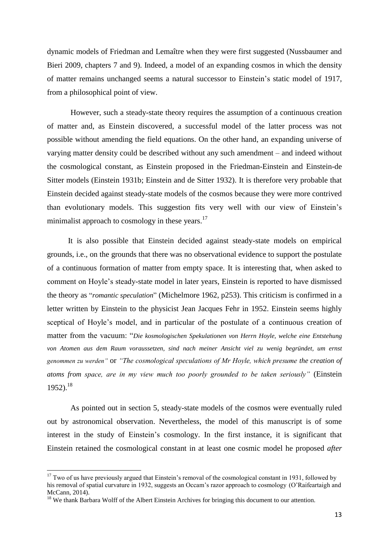dynamic models of Friedman and Lemaître when they were first suggested (Nussbaumer and Bieri 2009, chapters 7 and 9). Indeed, a model of an expanding cosmos in which the density of matter remains unchanged seems a natural successor to Einstein's static model of 1917, from a philosophical point of view.

However, such a steady-state theory requires the assumption of a continuous creation of matter and, as Einstein discovered, a successful model of the latter process was not possible without amending the field equations. On the other hand, an expanding universe of varying matter density could be described without any such amendment – and indeed without the cosmological constant, as Einstein proposed in the Friedman-Einstein and Einstein-de Sitter models (Einstein 1931b; Einstein and de Sitter 1932). It is therefore very probable that Einstein decided against steady-state models of the cosmos because they were more contrived than evolutionary models. This suggestion fits very well with our view of Einstein's minimalist approach to cosmology in these years.<sup>17</sup>

It is also possible that Einstein decided against steady-state models on empirical grounds, i.e., on the grounds that there was no observational evidence to support the postulate of a continuous formation of matter from empty space. It is interesting that, when asked to comment on Hoyle's steady-state model in later years, Einstein is reported to have dismissed the theory as "*romantic speculation*" (Michelmore 1962, p253). This criticism is confirmed in a letter written by Einstein to the physicist Jean Jacques Fehr in 1952. Einstein seems highly sceptical of Hoyle's model, and in particular of the postulate of a continuous creation of matter from the vacuum: "*Die kosmologischen Spekulationen von Herrn Hoyle, welche eine Entstehung von Atomen aus dem Raum voraussetzen, sind nach meiner Ansicht viel zu wenig begründet, um ernst genommen zu werden"* or *"The cosmological speculations of Mr Hoyle, which presume the creation of atoms from space, are in my view much too poorly grounded to be taken seriously"* (Einstein  $1952$ ).<sup>18</sup>

As pointed out in section 5, steady-state models of the cosmos were eventually ruled out by astronomical observation. Nevertheless, the model of this manuscript is of some interest in the study of Einstein's cosmology. In the first instance, it is significant that Einstein retained the cosmological constant in at least one cosmic model he proposed *after*

**.** 

 $17$  Two of us have previously argued that Einstein's removal of the cosmological constant in 1931, followed by his removal of spatial curvature in 1932, suggests an Occam's razor approach to cosmology (O'Raifeartaigh and McCann, 2014).

<sup>&</sup>lt;sup>18</sup> We thank Barbara Wolff of the Albert Einstein Archives for bringing this document to our attention.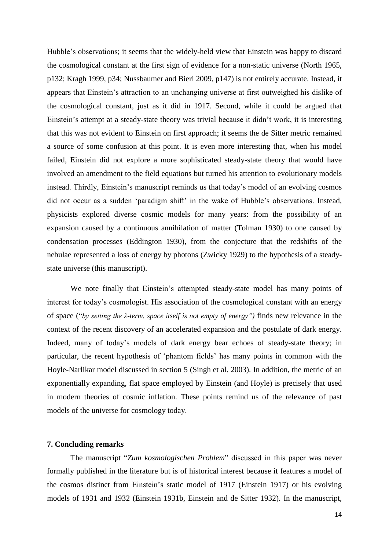Hubble's observations; it seems that the widely-held view that Einstein was happy to discard the cosmological constant at the first sign of evidence for a non-static universe (North 1965, p132; Kragh 1999, p34; Nussbaumer and Bieri 2009, p147) is not entirely accurate. Instead, it appears that Einstein's attraction to an unchanging universe at first outweighed his dislike of the cosmological constant, just as it did in 1917. Second, while it could be argued that Einstein's attempt at a steady-state theory was trivial because it didn't work, it is interesting that this was not evident to Einstein on first approach; it seems the de Sitter metric remained a source of some confusion at this point. It is even more interesting that, when his model failed, Einstein did not explore a more sophisticated steady-state theory that would have involved an amendment to the field equations but turned his attention to evolutionary models instead. Thirdly, Einstein's manuscript reminds us that today's model of an evolving cosmos did not occur as a sudden 'paradigm shift' in the wake of Hubble's observations. Instead, physicists explored diverse cosmic models for many years: from the possibility of an expansion caused by a continuous annihilation of matter (Tolman 1930) to one caused by condensation processes (Eddington 1930), from the conjecture that the redshifts of the nebulae represented a loss of energy by photons (Zwicky 1929) to the hypothesis of a steadystate universe (this manuscript).

We note finally that Einstein's attempted steady-state model has many points of interest for today's cosmologist. His association of the cosmological constant with an energy of space ("*by setting the λ-term, space itself is not empty of energy")* finds new relevance in the context of the recent discovery of an accelerated expansion and the postulate of dark energy. Indeed, many of today's models of dark energy bear echoes of steady-state theory; in particular, the recent hypothesis of 'phantom fields' has many points in common with the Hoyle-Narlikar model discussed in section 5 (Singh et al. 2003). In addition, the metric of an exponentially expanding, flat space employed by Einstein (and Hoyle) is precisely that used in modern theories of cosmic inflation. These points remind us of the relevance of past models of the universe for cosmology today.

#### **7. Concluding remarks**

The manuscript "*Zum kosmologischen Problem*" discussed in this paper was never formally published in the literature but is of historical interest because it features a model of the cosmos distinct from Einstein's static model of 1917 (Einstein 1917) or his evolving models of 1931 and 1932 (Einstein 1931b, Einstein and de Sitter 1932). In the manuscript,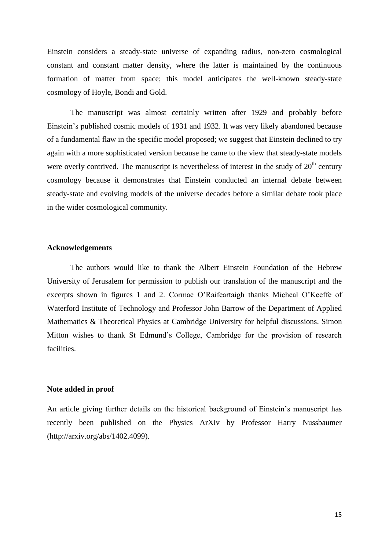Einstein considers a steady-state universe of expanding radius, non-zero cosmological constant and constant matter density, where the latter is maintained by the continuous formation of matter from space; this model anticipates the well-known steady-state cosmology of Hoyle, Bondi and Gold.

The manuscript was almost certainly written after 1929 and probably before Einstein's published cosmic models of 1931 and 1932. It was very likely abandoned because of a fundamental flaw in the specific model proposed; we suggest that Einstein declined to try again with a more sophisticated version because he came to the view that steady-state models were overly contrived. The manuscript is nevertheless of interest in the study of  $20<sup>th</sup>$  century cosmology because it demonstrates that Einstein conducted an internal debate between steady-state and evolving models of the universe decades before a similar debate took place in the wider cosmological community.

#### **Acknowledgements**

The authors would like to thank the Albert Einstein Foundation of the Hebrew University of Jerusalem for permission to publish our translation of the manuscript and the excerpts shown in figures 1 and 2. Cormac O'Raifeartaigh thanks Micheal O'Keeffe of Waterford Institute of Technology and Professor John Barrow of the Department of Applied Mathematics & Theoretical Physics at Cambridge University for helpful discussions. Simon Mitton wishes to thank St Edmund's College, Cambridge for the provision of research facilities.

#### **Note added in proof**

An article giving further details on the historical background of Einstein's manuscript has recently been published on the Physics ArXiv by Professor Harry Nussbaumer (http://arxiv.org/abs/1402.4099).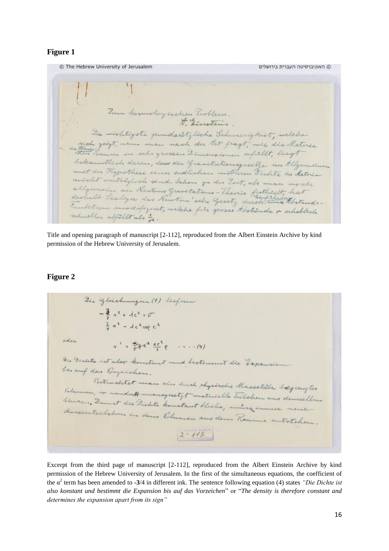### **Figure 1**

© The Hebrew University of Jerusalem © האוניברסיטה העברית בירושלים Zum kommologischen Troblem. The wichtigste grundseitzliche Schweerigkeit, welche un gingt, nem man nach der tit fragt, wie die Materse bekanntlich durin, dass der Granitationsgesetze im Algemeinen most der Hypothese einer endlichen mittleren Fichte der Materie micht verträglich sind. Schen zu der Zeit, als man noch allymen an Newtons Gravetations - Theorie firstheelt, hat deshall Seeliger das Newton'sehe Gesetz durch ten thetandstunktion modifiziert, welche für grosse tostände & erheblich schneller abfällt als 2.

Title and opening paragraph of manuscript [2-112], reproduced from the Albert Einstein Archive by kind permission of the Hebrew University of Jerusalem.

### **Figure 2**

Die glischungen (1) ledform  $-\frac{3}{2}a^{2}+de^{2}=0$  $\frac{3}{4}x^2-4c^2$  =  $xe^{-2}$ oder  $x^2 = \frac{x}{x^2}e^{x^2} - \frac{xe^2}{x}e^{x^2} - \cdots (4)$ Die Fielde ist also konstant und bestimmt die Expansion besauf das Porgerichen. Retractitet man ein derch shysische Musstelle begreigtes Valumen, so wonderto managesetyt metenielle Teilchen and dessentes henows, Danist de Bichte konstant blisbe, misse immer neue Massenteilchen in dem Blumen aus dem Ramme entstehen.  $2 - 112$ 

Excerpt from the third page of manuscript [2-112], reproduced from the Albert Einstein Archive by kind permission of the Hebrew University of Jerusalem. In the first of the simultaneous equations, the coefficient of the α 2 term has been amended to **-3**/4 in different ink. The sentence following equation (4) states *"Die Dichte ist also konstant und bestimmt die Expansion bis auf das Vorzeichen*" or "*The density is therefore constant and determines the expansion apart from its sign"*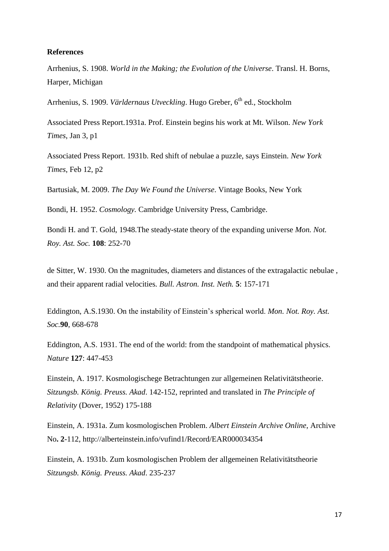#### **References**

Arrhenius, S. 1908. *World in the Making; the Evolution of the Universe*. Transl. H. Borns, Harper, Michigan

Arrhenius, S. 1909. *Världernaus Utveckling*. Hugo Greber, 6<sup>th</sup> ed., Stockholm

Associated Press Report.1931a. Prof. Einstein begins his work at Mt. Wilson. *New York Times*, Jan 3, p1

Associated Press Report. 1931b. Red shift of nebulae a puzzle, says Einstein*. New York Times*, Feb 12, p2

Bartusiak, M. 2009. *The Day We Found the Universe*. Vintage Books, New York

Bondi, H. 1952. *Cosmology.* Cambridge University Press, Cambridge.

Bondi H. and T. Gold, 1948.The steady-state theory of the expanding universe *Mon. Not. Roy. Ast. Soc.* **108**: 252-70

de Sitter, W. 1930. On the magnitudes, diameters and distances of the extragalactic nebulae , and their apparent radial velocities*. Bull. Astron. Inst. Neth.* **5**: 157-171

Eddington, A.S.1930. On the instability of Einstein's spherical world. *Mon. Not. Roy. Ast. Soc.***90**, 668-678

Eddington, A.S. 1931. The end of the world: from the standpoint of mathematical physics. *Nature* **127**: 447-453

Einstein, A. 1917. Kosmologischege Betrachtungen zur allgemeinen Relativitätstheorie. *Sitzungsb. König. Preuss. Akad*. 142-152, reprinted and translated in *The Principle of Relativity* (Dover, 1952) 175-188

Einstein, A. 1931a. Zum kosmologischen Problem. *Albert Einstein Archive Online*, Archive No**. 2**-112, http://alberteinstein.info/vufind1/Record/EAR000034354

Einstein, A. 1931b. Zum kosmologischen Problem der allgemeinen Relativitätstheorie *Sitzungsb. König. Preuss. Akad*. 235-237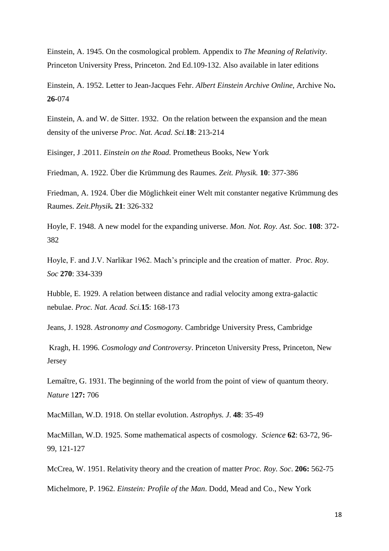Einstein, A. 1945. On the cosmological problem. Appendix to *The Meaning of Relativity*. Princeton University Press, Princeton. 2nd Ed.109-132. Also available in later editions

Einstein, A. 1952. Letter to Jean-Jacques Fehr. *Albert Einstein Archive Online,* Archive No**. 26-**074

Einstein, A. and W. de Sitter. 1932. On the relation between the expansion and the mean density of the universe *Proc. Nat. Acad. Sci.***18**: 213-214

Eisinger, J .2011. *Einstein on the Road.* Prometheus Books, New York

Friedman, A. 1922. Über die Krümmung des Raumes*. Zeit. Physik.* **10**: 377-386

Friedman, A. 1924. Über die Möglichkeit einer Welt mit constanter negative Krümmung des Raumes. *Zeit.Physik.* **21**: 326-332

Hoyle, F. 1948. A new model for the expanding universe. *Mon. Not. Roy. Ast. Soc*. **108**: 372- 382

Hoyle, F. and J.V. Narlikar 1962. Mach's principle and the creation of matter. *Proc. Roy. Soc* **270**: 334-339

Hubble, E. 1929. A relation between distance and radial velocity among extra-galactic nebulae. *Proc. Nat. Acad. Sci.***15**: 168-173

Jeans, J. 1928. *Astronomy and Cosmogony.* Cambridge University Press, Cambridge

Kragh, H. 1996. *Cosmology and Controversy*. Princeton University Press, Princeton, New Jersey

Lemaître, G. 1931. The beginning of the world from the point of view of quantum theory. *Nature* 1**27:** 706

MacMillan, W.D. 1918. On stellar evolution. *Astrophys. J*. **48**: 35-49

MacMillan, W.D. 1925. Some mathematical aspects of cosmology*. Science* **62**: 63-72, 96- 99, 121-127

McCrea, W. 1951. Relativity theory and the creation of matter *Proc. Roy. Soc*. **206:** 562-75

Michelmore, P. 1962. *Einstein: Profile of the Man*. Dodd, Mead and Co., New York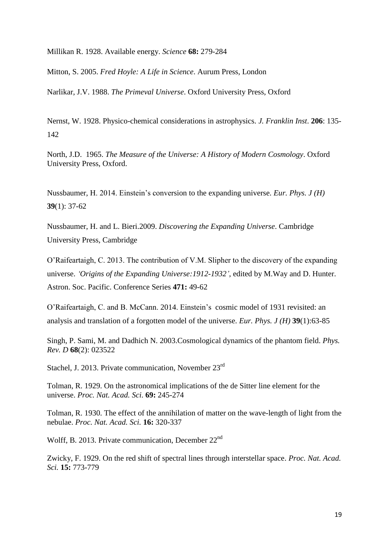Millikan R. 1928. Available energy. *Science* **68:** 279-284

Mitton, S. 2005. *Fred Hoyle: A Life in Science*. Aurum Press, London

Narlikar, J.V. 1988. *The Primeval Universe*. Oxford University Press, Oxford

Nernst, W. 1928. Physico-chemical considerations in astrophysics. *J. Franklin Inst*. **206**: 135- 142

North, J.D. 1965. *The Measure of the Universe: A History of Modern Cosmology*. Oxford University Press, Oxford.

Nussbaumer, H. 2014. Einstein's conversion to the expanding universe. *Eur. Phys. J (H)* **39**(1): 37-62

Nussbaumer, H. and L. Bieri.2009. *Discovering the Expanding Universe*. Cambridge University Press, Cambridge

O'Raifeartaigh, C. 2013. The contribution of V.M. Slipher to the discovery of the expanding universe. *'Origins of the Expanding Universe:1912-1932'*, edited by M.Way and D. Hunter. Astron. Soc. Pacific. Conference Series **471:** 49-62

O'Raifeartaigh, C. and B. McCann. 2014. Einstein's cosmic model of 1931 revisited: an analysis and translation of a forgotten model of the universe. *Eur. Phys. J (H)* **39**(1):63-85

Singh, P. Sami, M. and Dadhich N. 2003.Cosmological dynamics of the phantom field. *Phys. Rev. D* **68**(2): 023522

Stachel, J. 2013. Private communication, November 23<sup>rd</sup>

Tolman, R. 1929. On the astronomical implications of the de Sitter line element for the universe. *Proc. Nat. Acad. Sci*. **69:** 245-274

Tolman, R. 1930. The effect of the annihilation of matter on the wave-length of light from the nebulae. *Proc. Nat. Acad. Sci.* **16:** 320-337

Wolff, B. 2013. Private communication, December 22<sup>nd</sup>

Zwicky, F. 1929. On the red shift of spectral lines through interstellar space. *Proc. Nat. Acad. Sci.* **15:** 773-779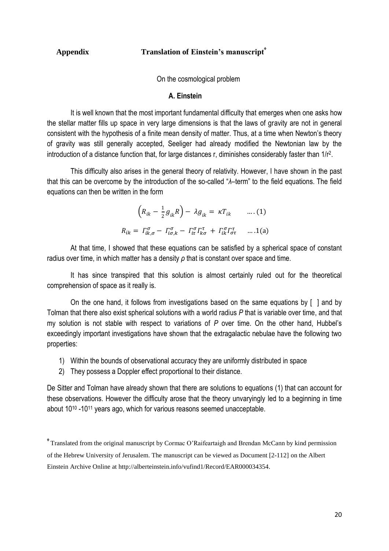# **Appendix** Translation of Einstein's manuscript<sup>\*</sup>

On the cosmological problem

#### **A. Einstein**

It is well known that the most important fundamental difficulty that emerges when one asks how the stellar matter fills up space in very large dimensions is that the laws of gravity are not in general consistent with the hypothesis of a finite mean density of matter. Thus, at a time when Newton's theory of gravity was still generally accepted, Seeliger had already modified the Newtonian law by the introduction of a distance function that, for large distances r, diminishes considerably faster than  $1/r^2$ .

This difficulty also arises in the general theory of relativity. However, I have shown in the past that this can be overcome by the introduction of the so-called "*λ*–term" to the field equations. The field equations can then be written in the form

$$
\left(R_{ik} - \frac{1}{2}g_{ik}R\right) - \lambda g_{ik} = \kappa T_{ik} \qquad \dots (1)
$$

$$
R_{ik} = \Gamma_{ik,\sigma}^{\sigma} - \Gamma_{i\sigma,k}^{\sigma} - \Gamma_{i\tau}^{\sigma}\Gamma_{k\sigma}^{\tau} + \Gamma_{ik}^{\sigma}\Gamma_{\sigma\tau}^{\tau} \qquad \dots (1)
$$

At that time, I showed that these equations can be satisfied by a spherical space of constant radius over time, in which matter has a density *ρ* that is constant over space and time.

It has since transpired that this solution is almost certainly ruled out for the theoretical comprehension of space as it really is.

On the one hand, it follows from investigations based on the same equations by [ ] and by Tolman that there also exist spherical solutions with a world radius *P* that is variable over time, and that my solution is not stable with respect to variations of *P* over time. On the other hand, Hubbel's exceedingly important investigations have shown that the extragalactic nebulae have the following two properties:

- 1) Within the bounds of observational accuracy they are uniformly distributed in space
- 2) They possess a Doppler effect proportional to their distance.

De Sitter and Tolman have already shown that there are solutions to equations (1) that can account for these observations. However the difficulty arose that the theory unvaryingly led to a beginning in time about 10<sup>10</sup> -10<sup>11</sup> years ago, which for various reasons seemed unacceptable.

<sup> $*$ </sup> Translated from the original manuscript by Cormac O'Raifeartaigh and Brendan McCann by kind permission of the Hebrew University of Jerusalem. The manuscript can be viewed as Document [2-112] on the Albert Einstein Archive Online at http://alberteinstein.info/vufind1/Record/EAR000034354.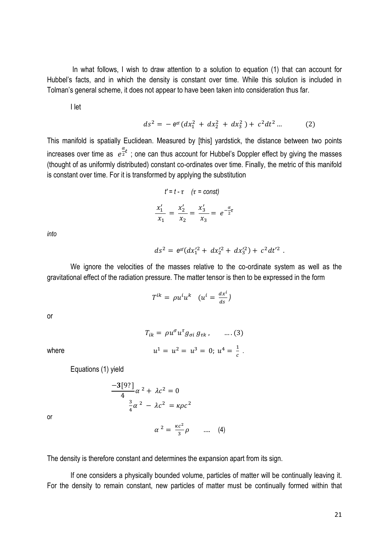In what follows, I wish to draw attention to a solution to equation (1) that can account for Hubbel's facts, and in which the density is constant over time. While this solution is included in Tolman's general scheme, it does not appear to have been taken into consideration thus far.

I let

$$
ds^{2} = -e^{\alpha t} (dx_{1}^{2} + dx_{2}^{2} + dx_{3}^{2}) + c^{2} dt^{2} ... \qquad (2)
$$

This manifold is spatially Euclidean. Measured by [this] yardstick, the distance between two points increases over time as  $e^{\frac{\alpha}{2}}$  $\frac{a}{2}$ t; one can thus account for Hubbel's Doppler effect by giving the masses (thought of as uniformly distributed) constant co-ordinates over time. Finally, the metric of this manifold is constant over time. For it is transformed by applying the substitution

$$
t' = t - \tau \quad (\tau = const)
$$

$$
\frac{x'_1}{x_1} = \frac{x'_2}{x_2} = \frac{x'_3}{x_3} = e^{-\frac{\alpha}{2}\tau}
$$

*into*

$$
ds^2 = e^{\alpha t} (dx_1^2 + dx_2^2 + dx_3^2) + c^2 dt^2
$$

.

We ignore the velocities of the masses relative to the co-ordinate system as well as the gravitational effect of the radiation pressure. The matter tensor is then to be expressed in the form

$$
T^{ik} = \rho u^i u^k \quad (u^i = \frac{dx^i}{ds})
$$

or

where

$$
T_{ik} = \rho u^{\sigma} u^{\tau} g_{\sigma i} g_{\tau k}, \qquad \dots (3)
$$
  

$$
u^{1} = u^{2} = u^{3} = 0; u^{4} = \frac{1}{c}.
$$

Equations (1) yield

$$
\frac{-3[9?]}{4}\alpha^2 + \lambda c^2 = 0
$$
  

$$
\frac{3}{4}\alpha^2 - \lambda c^2 = \kappa \rho c^2
$$

or

The density is therefore constant and determines the expansion apart from its sign.

 $\alpha^2 = \frac{\kappa c^2}{2}$ 

If one considers a physically bounded volume, particles of matter will be continually leaving it. For the density to remain constant, new particles of matter must be continually formed within that

 $\frac{c}{3}\rho$  .... (4)